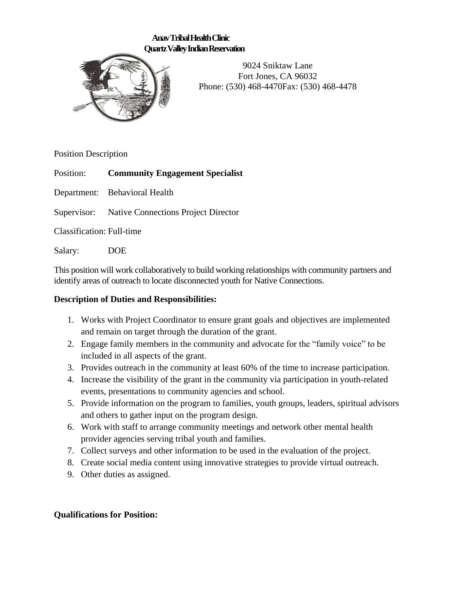### **Anav Tribal Health Clinic Quartz Valley Indian Reservation**



9024 Sniktaw Lane Fort Jones, CA 96032 Phone: (530) 468-4470Fax: (530) 468-4478

Position Description

Position: **Community Engagement Specialist**

Department: Behavioral Health

Supervisor: Native Connections Project Director

Classification: Full-time

Salary: DOE

This position will work collaboratively to build working relationships with community partners and identify areas of outreach to locate disconnected youth for Native Connections.

## **Description of Duties and Responsibilities:**

- 1. Works with Project Coordinator to ensure grant goals and objectives are implemented and remain on target through the duration of the grant.
- 2. Engage family members in the community and advocate for the "family voice" to be included in all aspects of the grant.
- 3. Provides outreach in the community at least 60% of the time to increase participation.
- 4. Increase the visibility of the grant in the community via participation in youth-related events, presentations to community agencies and school.
- 5. Provide information on the program to families, youth groups, leaders, spiritual advisors and others to gather input on the program design.
- 6. Work with staff to arrange community meetings and network other mental health provider agencies serving tribal youth and families.
- 7. Collect surveys and other information to be used in the evaluation of the project.
- 8. Create social media content using innovative strategies to provide virtual outreach.
- 9. Other duties as assigned.

# **Qualifications for Position:**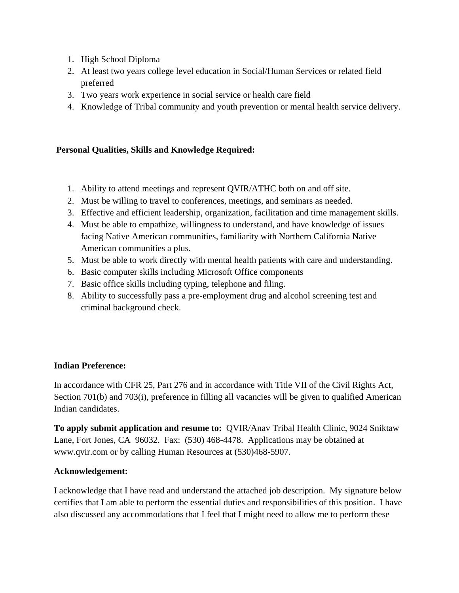- 1. High School Diploma
- 2. At least two years college level education in Social/Human Services or related field preferred
- 3. Two years work experience in social service or health care field
- 4. Knowledge of Tribal community and youth prevention or mental health service delivery.

### **Personal Qualities, Skills and Knowledge Required:**

- 1. Ability to attend meetings and represent QVIR/ATHC both on and off site.
- 2. Must be willing to travel to conferences, meetings, and seminars as needed.
- 3. Effective and efficient leadership, organization, facilitation and time management skills.
- 4. Must be able to empathize, willingness to understand, and have knowledge of issues facing Native American communities, familiarity with Northern California Native American communities a plus.
- 5. Must be able to work directly with mental health patients with care and understanding.
- 6. Basic computer skills including Microsoft Office components
- 7. Basic office skills including typing, telephone and filing.
- 8. Ability to successfully pass a pre-employment drug and alcohol screening test and criminal background check.

### **Indian Preference:**

In accordance with CFR 25, Part 276 and in accordance with Title VII of the Civil Rights Act, Section 701(b) and 703(i), preference in filling all vacancies will be given to qualified American Indian candidates.

**To apply submit application and resume to:** QVIR/Anav Tribal Health Clinic, 9024 Sniktaw Lane, Fort Jones, CA 96032. Fax: (530) 468-4478. Applications may be obtained at www.qvir.com or by calling Human Resources at (530)468-5907.

### **Acknowledgement:**

I acknowledge that I have read and understand the attached job description. My signature below certifies that I am able to perform the essential duties and responsibilities of this position. I have also discussed any accommodations that I feel that I might need to allow me to perform these